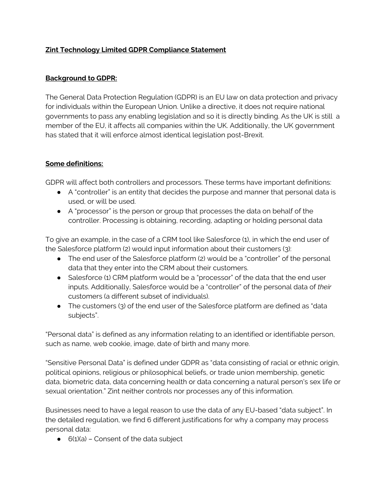### **Zint Technology Limited GDPR Compliance Statement**

#### **Background to GDPR:**

The General Data Protection Regulation (GDPR) is an EU law on data protection and privacy for individuals within the European Union. Unlike a directive, it does not require national governments to pass any enabling legislation and so it is directly binding. As the UK is still a member of the EU, it affects all companies within the UK. Additionally, the UK government has stated that it will enforce almost identical legislation post-Brexit.

#### **Some definitions:**

GDPR will affect both controllers and processors. These terms have important definitions:

- A "controller" is an entity that decides the purpose and manner that personal data is used, or will be used.
- A "processor" is the person or group that processes the data on behalf of the controller. Processing is obtaining, recording, adapting or holding personal data

To give an example, in the case of a CRM tool like Salesforce (1), in which the end user of the Salesforce platform (2) would input information about their customers (3):

- The end user of the Salesforce platform (2) would be a "controller" of the personal data that they enter into the CRM about their customers.
- Salesforce (1) CRM platform would be a "processor" of the data that the end user inputs. Additionally, Salesforce would be a "controller" of the personal data of *their* customers (a different subset of individuals).
- The customers (3) of the end user of the Salesforce platform are defined as "data subjects".

"Personal data" is defined as any information relating to an identified or identifiable person, such as name, web cookie, image, date of birth and many more.

"Sensitive Personal Data" is defined under GDPR as "data consisting of racial or ethnic origin, political opinions, religious or philosophical beliefs, or trade union membership, genetic data, biometric data, data concerning health or data concerning a natural person's sex life or sexual orientation." Zint neither controls nor processes any of this information.

Businesses need to have a legal reason to use the data of any EU-based "data subject". In the detailed regulation, we find 6 different justifications for why a company may process personal data:

 $\bullet$  6(1)(a) – Consent of the data subject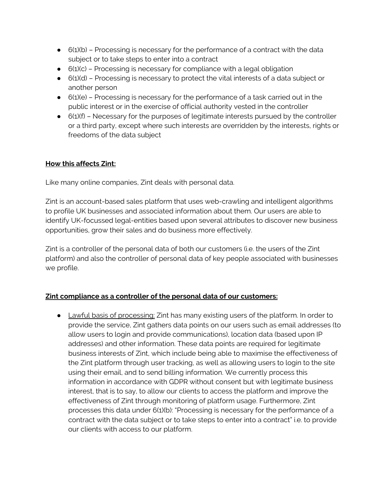- $\bullet$  6(1)(b) Processing is necessary for the performance of a contract with the data subject or to take steps to enter into a contract
- $\bullet$  6(1)(c) Processing is necessary for compliance with a legal obligation
- $\bullet$  6(1)(d) Processing is necessary to protect the vital interests of a data subject or another person
- 6(1)(e) Processing is necessary for the performance of a task carried out in the public interest or in the exercise of official authority vested in the controller
- $\bullet$  6(1)(f) Necessary for the purposes of legitimate interests pursued by the controller or a third party, except where such interests are overridden by the interests, rights or freedoms of the data subject

### **How this affects Zint:**

Like many online companies, Zint deals with personal data.

Zint is an account-based sales platform that uses web-crawling and intelligent algorithms to profile UK businesses and associated information about them. Our users are able to identify UK-focussed legal-entities based upon several attributes to discover new business opportunities, grow their sales and do business more effectively.

Zint is a controller of the personal data of both our customers (i.e. the users of the Zint platform) and also the controller of personal data of key people associated with businesses we profile.

# **Zint compliance as a controller of the personal data of our customers:**

• Lawful basis of processing: Zint has many existing users of the platform. In order to provide the service, Zint gathers data points on our users such as email addresses (to allow users to login and provide communications), location data (based upon IP addresses) and other information. These data points are required for legitimate business interests of Zint, which include being able to maximise the effectiveness of the Zint platform through user tracking, as well as allowing users to login to the site using their email, and to send billing information. We currently process this information in accordance with GDPR without consent but with legitimate business interest, that is to say, to allow our clients to access the platform and improve the effectiveness of Zint through monitoring of platform usage. Furthermore, Zint processes this data under 6(1)(b): "Processing is necessary for the performance of a contract with the data subject or to take steps to enter into a contract" i.e. to provide our clients with access to our platform.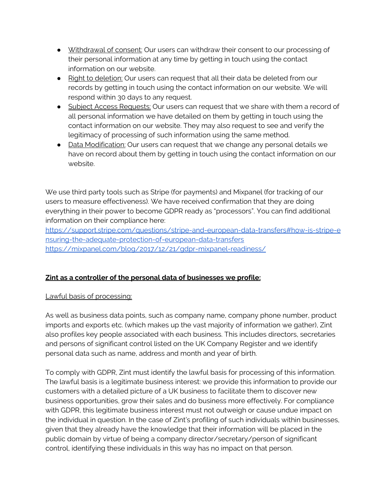- Withdrawal of consent: Our users can withdraw their consent to our processing of their personal information at any time by getting in touch using the contact information on our website.
- Right to deletion: Our users can request that all their data be deleted from our records by getting in touch using the contact information on our website. We will respond within 30 days to any request.
- Subject Access Requests: Our users can request that we share with them a record of all personal information we have detailed on them by getting in touch using the contact information on our website. They may also request to see and verify the legitimacy of processing of such information using the same method.
- Data Modification: Our users can request that we change any personal details we have on record about them by getting in touch using the contact information on our website.

We use third party tools such as Stripe (for payments) and Mixpanel (for tracking of our users to measure effectiveness). We have received confirmation that they are doing everything in their power to become GDPR ready as "processors". You can find additional information on their compliance here:

[https://support.stripe.com/questions/stripe-and-european-data-transfers#how-is-stripe-e](https://support.stripe.com/questions/stripe-and-european-data-transfers#how-is-stripe-ensuring-the-adequate-protection-of-european-data-transfers) [nsuring-the-adequate-protection-of-european-data-transfers](https://support.stripe.com/questions/stripe-and-european-data-transfers#how-is-stripe-ensuring-the-adequate-protection-of-european-data-transfers) <https://mixpanel.com/blog/2017/12/21/gdpr-mixpanel-readiness/>

# **Zint as a controller of the personal data of businesses we profile:**

#### Lawful basis of processing:

As well as business data points, such as company name, company phone number, product imports and exports etc. (which makes up the vast majority of information we gather), Zint also profiles key people associated with each business. This includes directors, secretaries and persons of significant control listed on the UK Company Register and we identify personal data such as name, address and month and year of birth.

To comply with GDPR, Zint must identify the lawful basis for processing of this information. The lawful basis is a legitimate business interest: we provide this information to provide our customers with a detailed picture of a UK business to facilitate them to discover new business opportunities, grow their sales and do business more effectively. For compliance with GDPR, this legitimate business interest must not outweigh or cause undue impact on the individual in question. In the case of Zint's profiling of such individuals within businesses, given that they already have the knowledge that their information will be placed in the public domain by virtue of being a company director/secretary/person of significant control, identifying these individuals in this way has no impact on that person.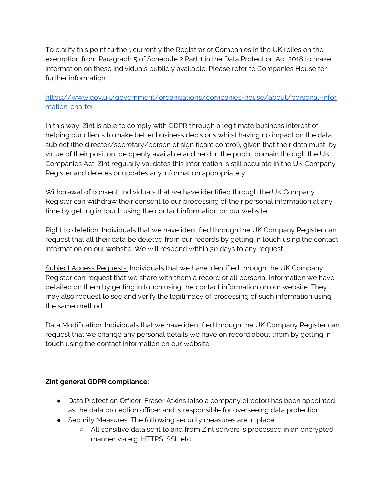To clarify this point further, currently the Registrar of Companies in the UK relies on the exemption from Paragraph 5 of Schedule 2 Part 1 in the Data Protection Act 2018 to make information on these individuals publicly available. Please refer to Companies House for further information:

### [https://www.gov.uk/government/organisations/companies-house/about/personal-infor](https://www.gov.uk/government/organisations/companies-house/about/personal-information-charter) [mation-charter](https://www.gov.uk/government/organisations/companies-house/about/personal-information-charter)

In this way, Zint is able to comply with GDPR through a legitimate business interest of helping our clients to make better business decisions whilst having no impact on the data subject (the director/secretary/person of significant control), given that their data must, by virtue of their position, be openly available and held in the public domain through the UK Companies Act. Zint regularly validates this information is still accurate in the UK Company Register and deletes or updates any information appropriately.

Withdrawal of consent: Individuals that we have identified through the UK Company Register can withdraw their consent to our processing of their personal information at any time by getting in touch using the contact information on our website.

Right to deletion: Individuals that we have identified through the UK Company Register can request that all their data be deleted from our records by getting in touch using the contact information on our website. We will respond within 30 days to any request.

Subject Access Requests: Individuals that we have identified through the UK Company Register can request that we share with them a record of all personal information we have detailed on them by getting in touch using the contact information on our website. They may also request to see and verify the legitimacy of processing of such information using the same method.

Data Modification: Individuals that we have identified through the UK Company Register can request that we change any personal details we have on record about them by getting in touch using the contact information on our website.

# **Zint general GDPR compliance:**

- Data Protection Officer: Fraser Atkins (also a company director) has been appointed as the data protection officer and is responsible for overseeing data protection.
- Security Measures: The following security measures are in place:
	- All sensitive data sent to and from Zint servers is processed in an encrypted manner via e.g. HTTPS, SSL etc.